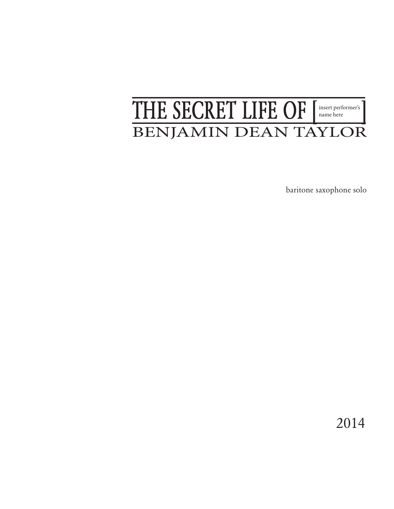## THE SECRET LIFE OF [insert performer's] BENJAMIN DEAN TAYLOR

baritone saxophone solo

2014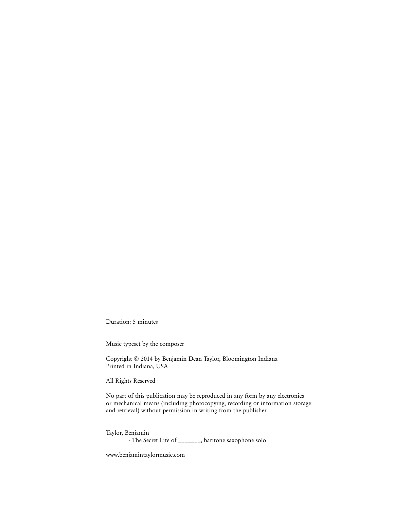Duration: 5 minutes

Music typeset by the composer

Copyright © 2014 by Benjamin Dean Taylor, Bloomington Indiana Printed in Indiana, USA

All Rights Reserved

No part of this publication may be reproduced in any form by any electronics or mechanical means (including photocopying, recording or information storage and retrieval) without permission in writing from the publisher.

Taylor, Benjamin - The Secret Life of \_\_\_\_\_\_\_, baritone saxophone solo

www.benjamintaylormusic.com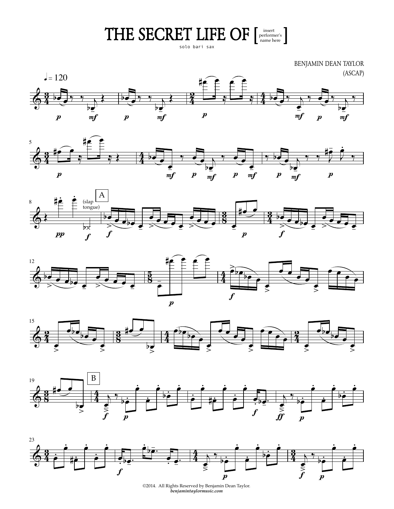THE SECRET LIFE OF  $[{\tiny \begin{array}{c} {\tiny \begin{array}{c} {\tiny \text{insert} } \\{\tiny \text{name here}}\end{array}} \end{array}}]$ 

BENJAMIN DEAN TAYLOR (ASCAP)  $J = 120$ bī bī ba  $\boldsymbol{p}$  $m f$  $m f$  $m f$  $\boldsymbol{p}$  $\boldsymbol{p}$  $\boldsymbol{p}$  $m f$ 













 $@2014.$  All Rights Reserved by Benjamin Dean Taylor.  $benjamintay lormusic.com$